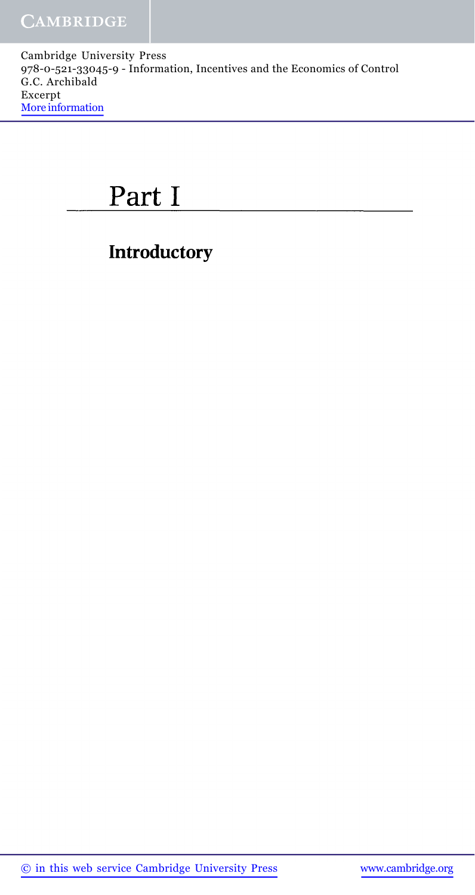# Part I

# **Introductory**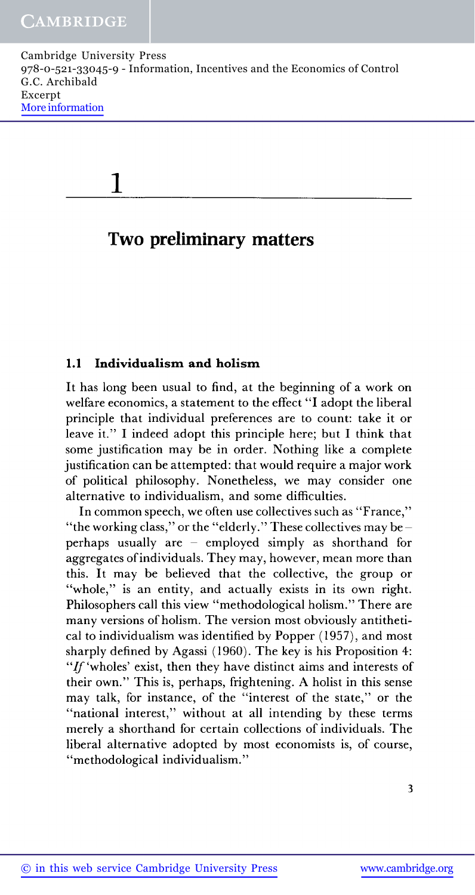| Cambridge University Press                                               |
|--------------------------------------------------------------------------|
| 978-0-521-33045-9 - Information, Incentives and the Economics of Control |
| G.C. Archibald                                                           |
| Excerpt                                                                  |
| More information                                                         |
|                                                                          |

1

# **Two preliminary matters**

### **1.1 Individualism and holism**

It has long been usual to find, at the beginning of a work on welfare economics, a statement to the effect "I adopt the liberal principle that individual preferences are to count: take it or leave it." I indeed adopt this principle here; but I think that some justification may be in order. Nothing like a complete justification can be attempted: that would require a major work of political philosophy. Nonetheless, we may consider one alternative to individualism, and some difficulties.

In common speech, we often use collectives such as "France," "the working class," or the "elderly." These collectives may be  $$ perhaps usually are - employed simply as shorthand for aggregates of individuals. They may, however, mean more than this. It may be believed that the collective, the group or "whole," is an entity, and actually exists in its own right. Philosophers call this view "methodological holism." There are many versions of holism. The version most obviously antithetical to individualism was identified by Popper (1957), and most sharply defined by Agassi (1960). The key is his Proposition 4: *"If* 'wholes' exist, then they have distinct aims and interests of their own." This is, perhaps, frightening. A holist in this sense may talk, for instance, of the "interest of the state," or the "national interest," without at all intending by these terms merely a shorthand for certain collections of individuals. The liberal alternative adopted by most economists is, of course, "methodological individualism."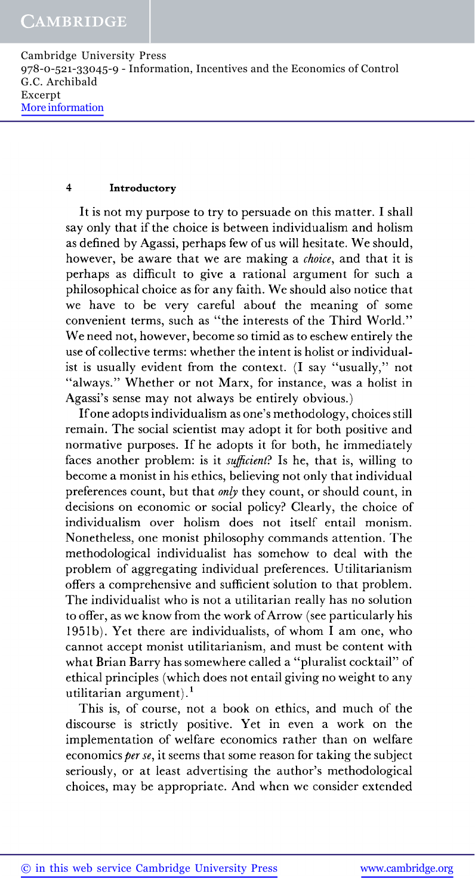#### **4 Introductory**

It is not my purpose to try to persuade on this matter. I shall say only that if the choice is between individualism and holism as defined by Agassi, perhaps few of us will hesitate. We should, however, be aware that we are making a *choice,* and that it is perhaps as difficult to give a rational argument for such a philosophical choice as for any faith. We should also notice that we have to be very careful about the meaning of some convenient terms, such as "the interests of the Third World." We need not, however, become so timid as to eschew entirely the use of collective terms: whether the intent is holist or individualist is usually evident from the context. (I say "usually," not "always." Whether or not Marx, for instance, was a holist in Agassi's sense may not always be entirely obvious.)

If one adopts individualism as one's methodology, choices still remain. The social scientist may adopt it for both positive and normative purposes. If he adopts it for both, he immediately faces another problem: is it *sufficient?* Is he, that is, willing to become a monist in his ethics, believing not only that individual preferences count, but that *only* they count, or should count, in decisions on economic or social policy? Clearly, the choice of individualism over holism does not itself entail monism. Nonetheless, one monist philosophy commands attention. The methodological individualist has somehow to deal with the problem of aggregating individual preferences. Utilitarianism offers a comprehensive and sufficient solution to that problem. The individualist who is not a utilitarian really has no solution to offer, as we know from the work of Arrow (see particularly his 1951b). Yet there are individualists, of whom I am one, who cannot accept monist utilitarianism, and must be content with what Brian Barry has somewhere called a "pluralist cocktail" of ethical principles (which does not entail giving no weight to any utilitarian argument).<sup>1</sup>

This is, of course, not a book on ethics, and much of the discourse is strictly positive. Yet in even a work on the implementation of welfare economics rather than on welfare economics *per se,* it seems that some reason for taking the subject seriously, or at least advertising the author's methodological choices, may be appropriate. And when we consider extended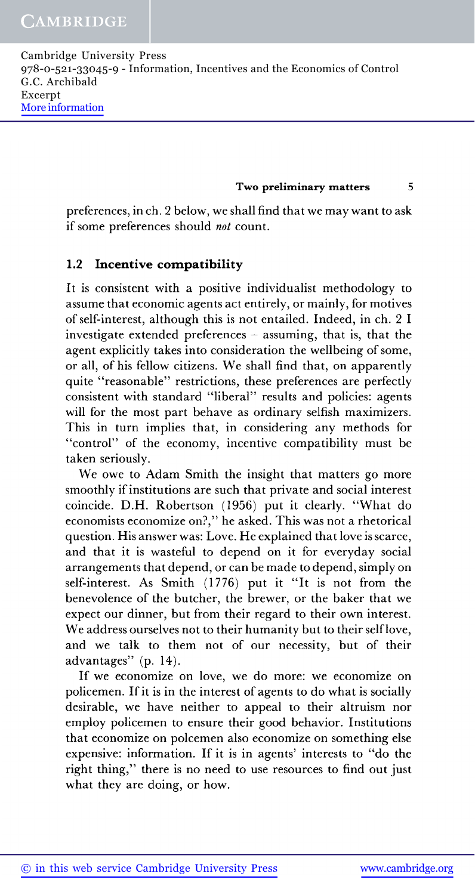**Two preliminary matters 5**

preferences, in ch. 2 below, we shall find that we may want to ask if some preferences should *not* count.

### **1.2 Incentive compatibility**

It is consistent with a positive individualist methodology to assume that economic agents act entirely, or mainly, for motives of self-interest, although this is not entailed. Indeed, in ch. 2 I investigate extended preferences  $-$  assuming, that is, that the agent explicitly takes into consideration the wellbeing of some, or all, of his fellow citizens. We shall find that, on apparently quite "reasonable" restrictions, these preferences are perfectly consistent with standard "liberal" results and policies: agents will for the most part behave as ordinary selfish maximizers. This in turn implies that, in considering any methods for "control" of the economy, incentive compatibility must be taken seriously.

We owe to Adam Smith the insight that matters go more smoothly if institutions are such that private and social interest coincide. D.H. Robertson (1956) put it clearly. "What do economists economize on?," he asked. This was not a rhetorical question. His answer was: Love. He explained that love is scarce, and that it is wasteful to depend on it for everyday social arrangements that depend, or can be made to depend, simply on self-interest. As Smith (1776) put it "It is not from the benevolence of the butcher, the brewer, or the baker that we expect our dinner, but from their regard to their own interest. We address ourselves not to their humanity but to their self love, and we talk to them not of our necessity, but of their advantages" (p. 14).

If we economize on love, we do more: we economize on policemen. If it is in the interest of agents to do what is socially desirable, we have neither to appeal to their altruism nor employ policemen to ensure their good behavior. Institutions that economize on polcemen also economize on something else expensive: information. If it is in agents' interests to "do the right thing," there is no need to use resources to find out just what they are doing, or how.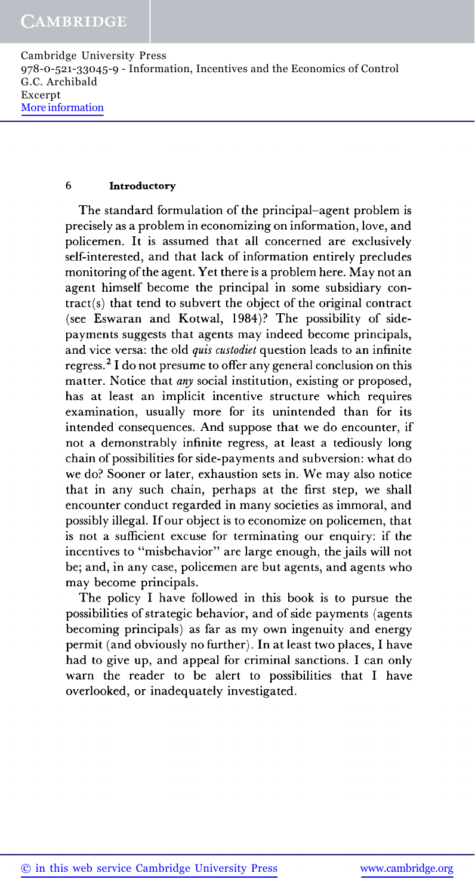#### **6 Introductory**

The standard formulation of the principal-agent problem is precisely as a problem in economizing on information, love, and policemen. It is assumed that all concerned are exclusively self-interested, and that lack of information entirely precludes monitoring of the agent. Yet there is a problem here. May not an agent himself become the principal in some subsidiary con $tract(s)$  that tend to subvert the object of the original contract (see Eswaran and Kotwal, 1984)? The possibility of sidepayments suggests that agents may indeed become principals, and vice versa: the old *quis custodiet* question leads to an infinite regress.<sup>2</sup> I do not presume to offer any general conclusion on this matter. Notice that *any* social institution, existing or proposed, has at least an implicit incentive structure which requires examination, usually more for its unintended than for its intended consequences. And suppose that we do encounter, if not a demonstrably infinite regress, at least a tediously long chain of possibilities for side-payments and subversion: what do we do? Sooner or later, exhaustion sets in. We may also notice that in any such chain, perhaps at the first step, we shall encounter conduct regarded in many societies as immoral, and possibly illegal. If our object is to economize on policemen, that is not a sufficient excuse for terminating our enquiry: if the incentives to "misbehavior" are large enough, the jails will not be; and, in any case, policemen are but agents, and agents who may become principals.

The policy I have followed in this book is to pursue the possibilities of strategic behavior, and of side payments (agents becoming principals) as far as my own ingenuity and energy permit (and obviously no further). In at least two places, I have had to give up, and appeal for criminal sanctions. I can only warn the reader to be alert to possibilities that I have overlooked, or inadequately investigated.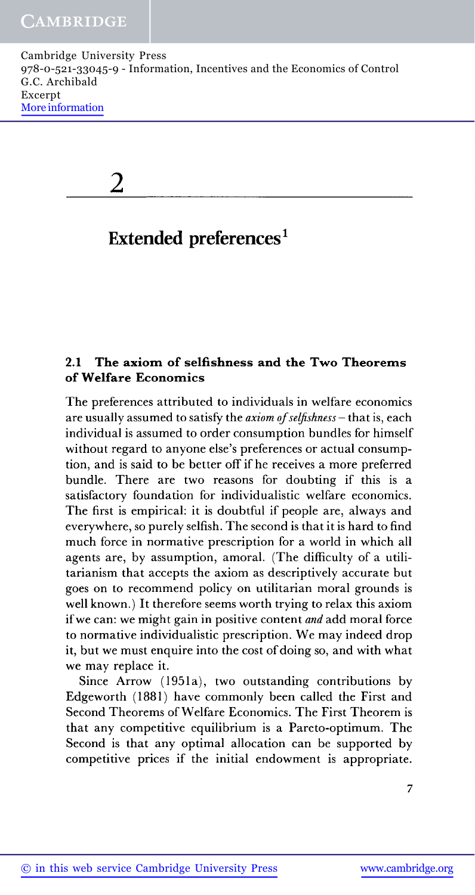| Cambridge University Press                                               |
|--------------------------------------------------------------------------|
| 978-0-521-33045-9 - Information, Incentives and the Economics of Control |
| G.C. Archibald                                                           |
| Excerpt                                                                  |
| More information                                                         |
|                                                                          |

 $\overline{2}$ 

# Extended preferences<sup>1</sup>

# **2.1 The axiom of selfishness and the Two** Theorems **of Welfare Economics**

The preferences attributed to individuals in welfare economics are usually assumed to satisfy the *axiom of selfishness —* that is, each individual is assumed to order consumption bundles for himself without regard to anyone else's preferences or actual consumption, and is said to be better off if he receives a more preferred bundle. There are two reasons for doubting if this is a satisfactory foundation for individualistic welfare economics. The first is empirical: it is doubtful if people are, always and everywhere, so purely selfish. The second is that it is hard to find much force in normative prescription for a world in which all agents are, by assumption, amoral. (The difficulty of a utilitarianism that accepts the axiom as descriptively accurate but goes on to recommend policy on utilitarian moral grounds is well known.) It therefore seems worth trying to relax this axiom if we can: we might gain in positive content *and* add moral force to normative individualistic prescription. We may indeed drop it, but we must enquire into the cost of doing so, and with what we may replace it.

Since Arrow (1951a), two outstanding contributions by Edgeworth (1881) have commonly been called the First and Second Theorems of Welfare Economics. The First Theorem is that any competitive equilibrium is a Pareto-optimum. The Second is that any optimal allocation can be supported by competitive prices if the initial endowment is appropriate.

 $\overline{7}$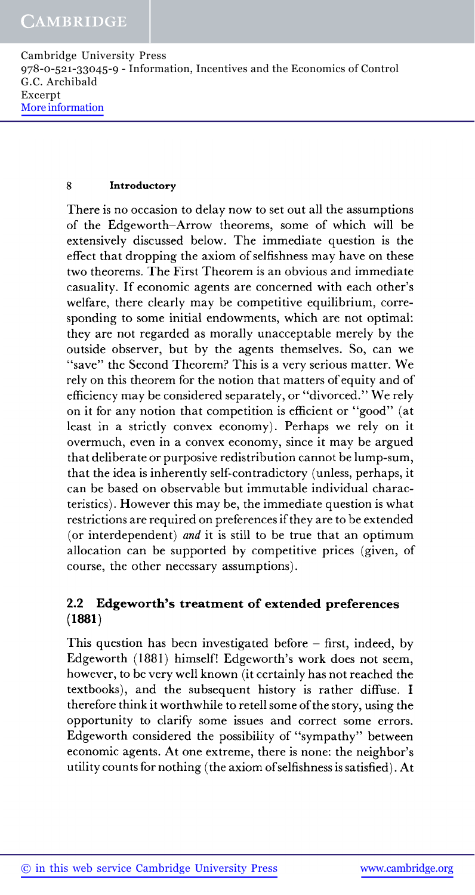### **8 Introductory**

There is no occasion to delay now to set out all the assumptions of the Edgeworth-Arrow theorems, some of which will be extensively discussed below. The immediate question is the effect that dropping the axiom of selfishness may have on these two theorems. The First Theorem is an obvious and immediate casuality. If economic agents are concerned with each other's welfare, there clearly may be competitive equilibrium, corresponding to some initial endowments, which are not optimal: they are not regarded as morally unacceptable merely by the outside observer, but by the agents themselves. So, can we "save" the Second Theorem? This is a very serious matter. We rely on this theorem for the notion that matters of equity and of efficiency may be considered separately, or "divorced." We rely on it for any notion that competition is efficient or "good" (at least in a strictly convex economy). Perhaps we rely on it overmuch, even in a convex economy, since it may be argued that deliberate or purposive redistribution cannot be lump-sum, that the idea is inherently self-contradictory (unless, perhaps, it can be based on observable but immutable individual characteristics). However this may be, the immediate question is what restrictions are required on preferences if they are to be extended (or interdependent) *and* it is still to be true that an optimum allocation can be supported by competitive prices (given, of course, the other necessary assumptions).

## **2.2 Edgeworth's treatment of extended preferences (1881)**

This question has been investigated before  $-$  first, indeed, by Edgeworth (1881) himself! Edgeworth's work does not seem, however, to be very well known (it certainly has not reached the textbooks), and the subsequent history is rather diffuse. I therefore think it worthwhile to retell some of the story, using the opportunity to clarify some issues and correct some errors. Edgeworth considered the possibility of "sympathy" between economic agents. At one extreme, there is none: the neighbor's utility counts for nothing (the axiom of selfishness is satisfied). At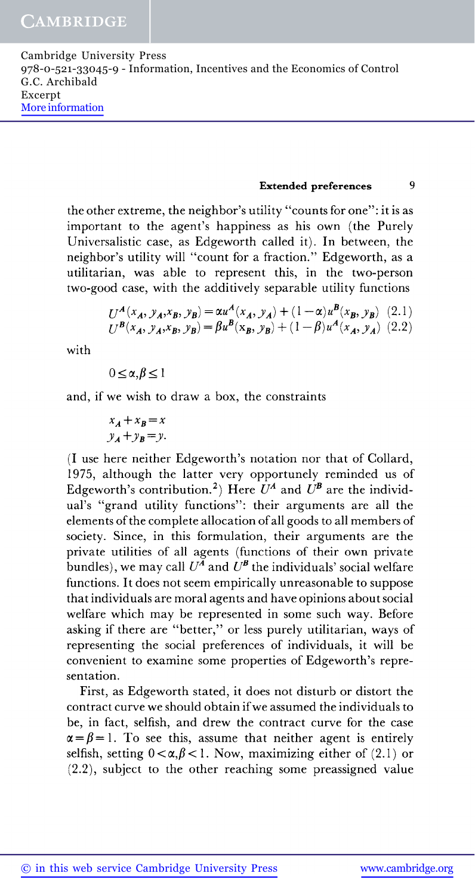### **Extended preferences 9**

the other extreme, the neighbor's utility "counts for one": it is as important to the agent's happiness as his own (the Purely Universalistic case, as Edgeworth called it). In between, the neighbor's utility will "count for a fraction." Edgeworth, as a utilitarian, was able to represent this, in the two-person two-good case, with the additively separable utility functions

$$
U^{\mathcal{A}}(x_{\mathcal{A}}, y_{\mathcal{A}}, x_{\mathcal{B}}, y_{\mathcal{B}}) = \alpha u^{\mathcal{A}}(x_{\mathcal{A}}, y_{\mathcal{A}}) + (1 - \alpha)u^{\mathcal{B}}(x_{\mathcal{B}}, y_{\mathcal{B}})
$$
(2.1)  

$$
U^{\mathcal{B}}(x_{\mathcal{A}}, y_{\mathcal{A}}, x_{\mathcal{B}}, y_{\mathcal{B}}) = \beta u^{\mathcal{B}}(x_{\mathcal{B}}, y_{\mathcal{B}}) + (1 - \beta)u^{\mathcal{A}}(x_{\mathcal{A}}, y_{\mathcal{A}})
$$
(2.2)

with

$$
0\leq \alpha,\beta\leq 1
$$

and, if we wish to draw a box, the constraints

$$
x_A + x_B = x
$$
  

$$
y_A + y_B = y.
$$

(I use here neither Edgeworth's notation nor that of Collard, 1975, although the latter very opportunely reminded us of Edgeworth's contribution.<sup>2</sup>) Here  $U^A$  and  $U^B$  are the individual's "grand utility functions": their arguments are all the elements of the complete allocation of all goods to all members of society. Since, in this formulation, their arguments are the private utilities of all agents (functions of their own private bundles), we may call  $U^{\overline{A}}$  and  $\dot{U}^{\overline{B}}$  the individuals' social welfare functions. It does not seem empirically unreasonable to suppose that individuals are moral agents and have opinions about social welfare which may be represented in some such way. Before asking if there are "better," or less purely utilitarian, ways of representing the social preferences of individuals, it will be convenient to examine some properties of Edgeworth's representation.

First, as Edgeworth stated, it does not disturb or distort the contract curve we should obtain if we assumed the individuals to be, in fact, selfish, and drew the contract curve for the case  $\alpha = \beta = 1$ . To see this, assume that neither agent is entirely selfish, setting  $0 < \alpha, \beta < 1$ . Now, maximizing either of (2.1) or (2.2), subject to the other reaching some preassigned value